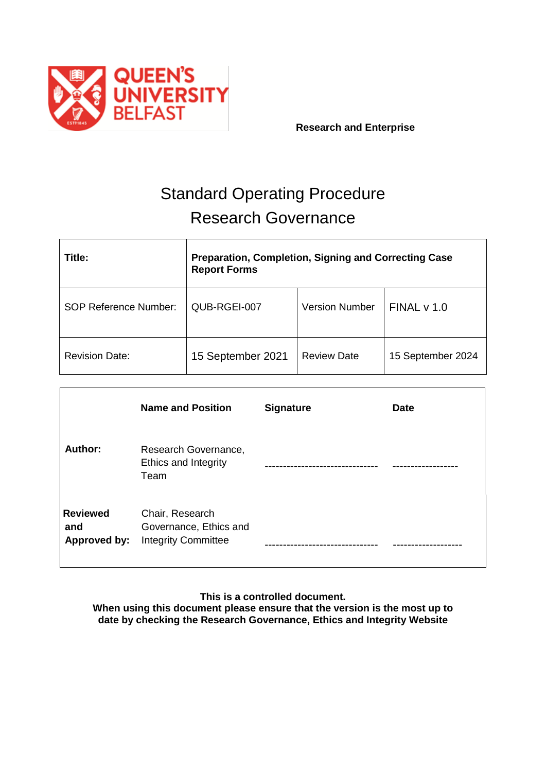

**Research and Enterprise**

# Standard Operating Procedure Research Governance

| Title:                | <b>Preparation, Completion, Signing and Correcting Case</b><br><b>Report Forms</b> |                       |                   |  |
|-----------------------|------------------------------------------------------------------------------------|-----------------------|-------------------|--|
| SOP Reference Number: | QUB-RGEI-007                                                                       | <b>Version Number</b> | FINALV 1.0        |  |
| <b>Revision Date:</b> | 15 September 2021                                                                  | <b>Review Date</b>    | 15 September 2024 |  |

|                                        | <b>Name and Position</b>                                                | <b>Signature</b> | <b>Date</b> |
|----------------------------------------|-------------------------------------------------------------------------|------------------|-------------|
| Author:                                | Research Governance,<br>Ethics and Integrity<br>Team                    |                  |             |
| <b>Reviewed</b><br>and<br>Approved by: | Chair, Research<br>Governance, Ethics and<br><b>Integrity Committee</b> |                  |             |

**This is a controlled document.**

**When using this document please ensure that the version is the most up to date by checking the Research Governance, Ethics and Integrity Website**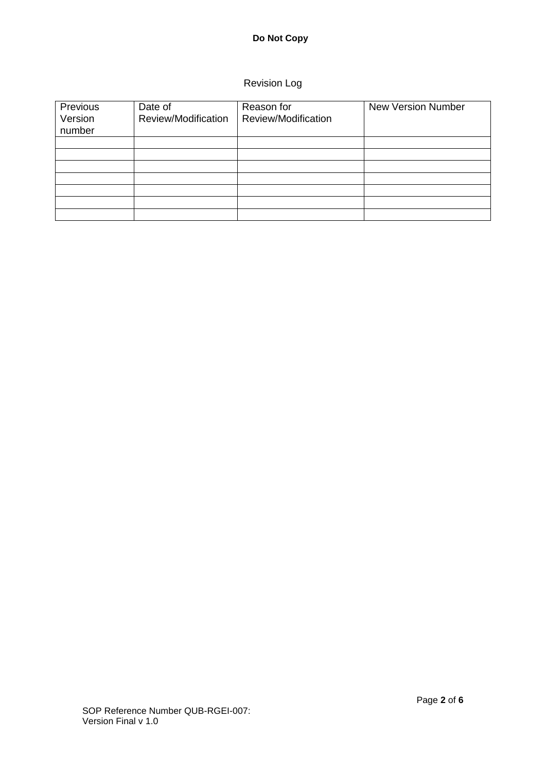# Revision Log

| Previous<br>Version<br>number | Date of<br>Review/Modification | Reason for<br>Review/Modification | <b>New Version Number</b> |
|-------------------------------|--------------------------------|-----------------------------------|---------------------------|
|                               |                                |                                   |                           |
|                               |                                |                                   |                           |
|                               |                                |                                   |                           |
|                               |                                |                                   |                           |
|                               |                                |                                   |                           |
|                               |                                |                                   |                           |
|                               |                                |                                   |                           |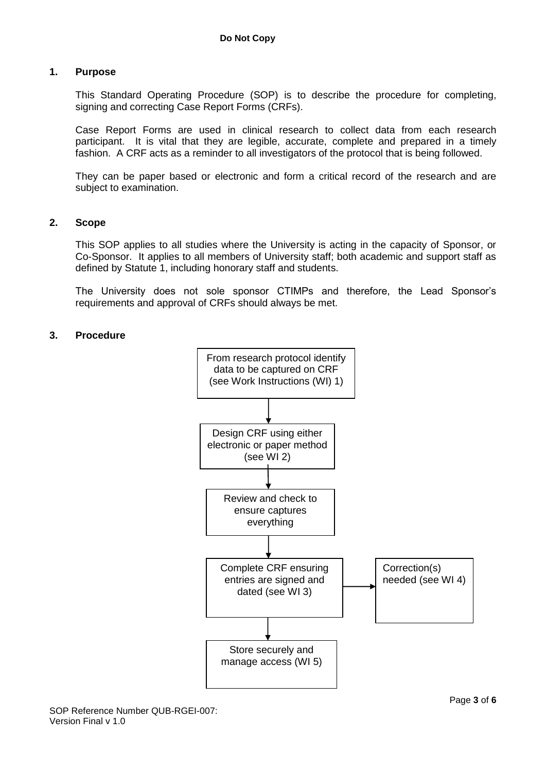#### **1. Purpose**

This Standard Operating Procedure (SOP) is to describe the procedure for completing, signing and correcting Case Report Forms (CRFs).

Case Report Forms are used in clinical research to collect data from each research participant. It is vital that they are legible, accurate, complete and prepared in a timely fashion. A CRF acts as a reminder to all investigators of the protocol that is being followed.

They can be paper based or electronic and form a critical record of the research and are subject to examination.

#### **2. Scope**

This SOP applies to all studies where the University is acting in the capacity of Sponsor, or Co-Sponsor. It applies to all members of University staff; both academic and support staff as defined by Statute 1, including honorary staff and students.

The University does not sole sponsor CTIMPs and therefore, the Lead Sponsor's requirements and approval of CRFs should always be met.

#### **3. Procedure**

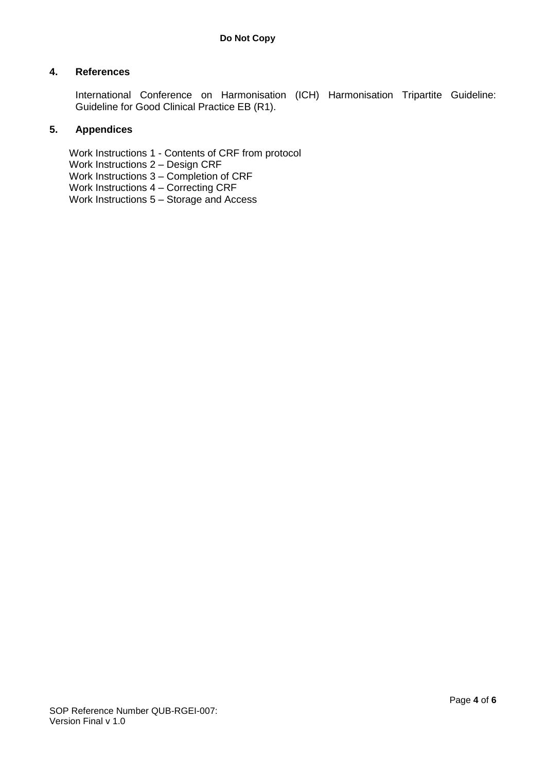## **4. References**

International Conference on Harmonisation (ICH) Harmonisation Tripartite Guideline: Guideline for Good Clinical Practice EB (R1).

## **5. Appendices**

Work Instructions 1 - Contents of CRF from protocol Work Instructions 2 – Design CRF Work Instructions 3 – Completion of CRF Work Instructions 4 – Correcting CRF Work Instructions 5 – Storage and Access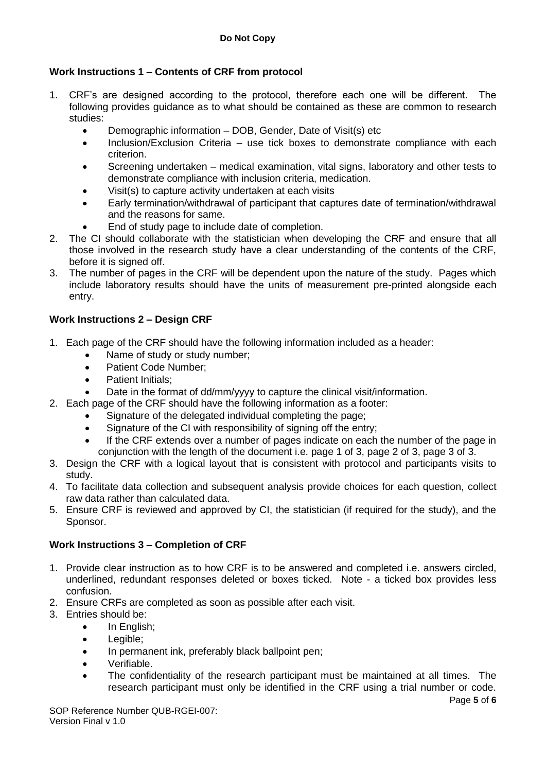# **Work Instructions 1 – Contents of CRF from protocol**

- 1. CRF's are designed according to the protocol, therefore each one will be different. The following provides guidance as to what should be contained as these are common to research studies:
	- Demographic information DOB, Gender, Date of Visit(s) etc
	- Inclusion/Exclusion Criteria use tick boxes to demonstrate compliance with each criterion.
	- Screening undertaken medical examination, vital signs, laboratory and other tests to demonstrate compliance with inclusion criteria, medication.
	- Visit(s) to capture activity undertaken at each visits
	- Early termination/withdrawal of participant that captures date of termination/withdrawal and the reasons for same.
	- End of study page to include date of completion.
- 2. The CI should collaborate with the statistician when developing the CRF and ensure that all those involved in the research study have a clear understanding of the contents of the CRF, before it is signed off.
- 3. The number of pages in the CRF will be dependent upon the nature of the study. Pages which include laboratory results should have the units of measurement pre-printed alongside each entry.

# **Work Instructions 2 – Design CRF**

- 1. Each page of the CRF should have the following information included as a header:
	- Name of study or study number;
	- Patient Code Number;
	- Patient Initials;
	- Date in the format of dd/mm/yyyy to capture the clinical visit/information.
- 2. Each page of the CRF should have the following information as a footer:
	- Signature of the delegated individual completing the page;
	- Signature of the CI with responsibility of signing off the entry;
	- If the CRF extends over a number of pages indicate on each the number of the page in conjunction with the length of the document i.e. page 1 of 3, page 2 of 3, page 3 of 3.
- 3. Design the CRF with a logical layout that is consistent with protocol and participants visits to study.
- 4. To facilitate data collection and subsequent analysis provide choices for each question, collect raw data rather than calculated data.
- 5. Ensure CRF is reviewed and approved by CI, the statistician (if required for the study), and the Sponsor.

## **Work Instructions 3 – Completion of CRF**

- 1. Provide clear instruction as to how CRF is to be answered and completed i.e. answers circled, underlined, redundant responses deleted or boxes ticked. Note - a ticked box provides less confusion.
- 2. Ensure CRFs are completed as soon as possible after each visit.
- 3. Entries should be:
	- In English;
	- Legible:
	- In permanent ink, preferably black ballpoint pen;
	- Verifiable.
	- The confidentiality of the research participant must be maintained at all times. The research participant must only be identified in the CRF using a trial number or code.

SOP Reference Number QUB-RGEI-007: Version Final v 1.0